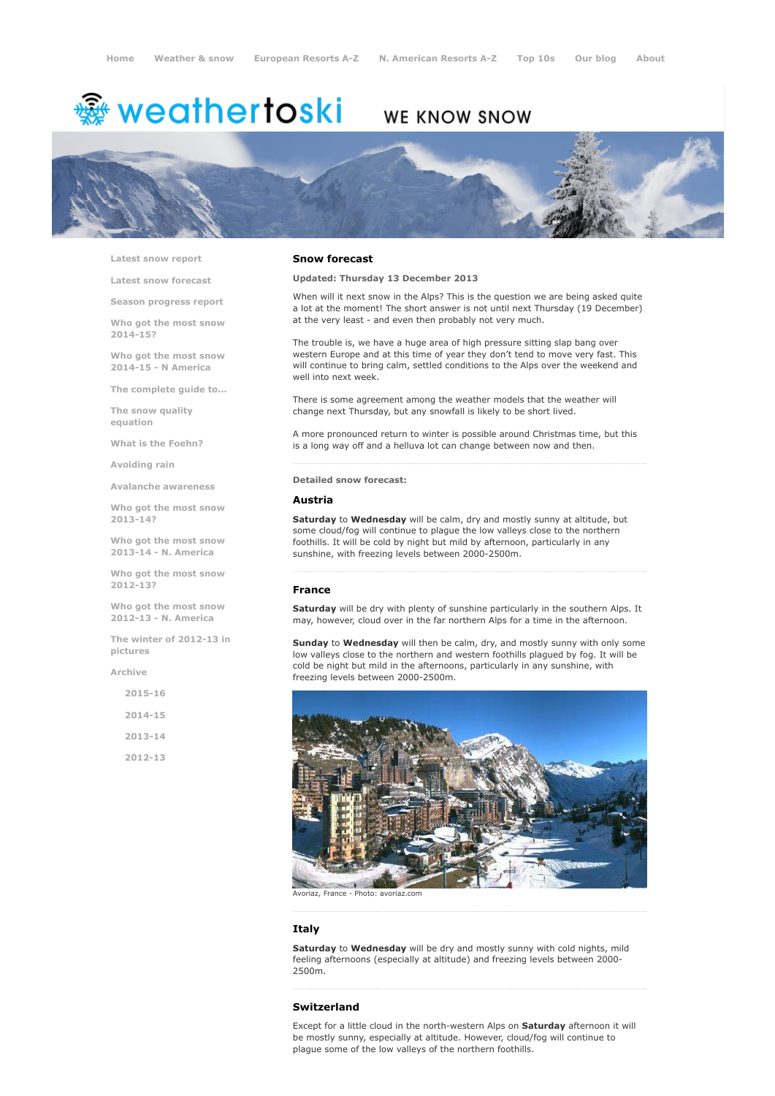# <del>鑾</del> weathertoski

## WE KNOW SNOW



Latest snow [report](http://www.weathertoski.co.uk/weather-snow/latest-snow-report/)

Latest snow [forecast](http://www.weathertoski.co.uk/weather-snow/latest-snow-forecast/)

Season [progress](http://www.weathertoski.co.uk/weather-snow/season-progress-report/) report

Who got the most snow 2014-15?

Who got the most snow 2014-15 - N America

The [complete](http://www.weathertoski.co.uk/weather-snow/the-complete-guide-to/) guide to...

The snow quality [equation](http://www.weathertoski.co.uk/weather-snow/the-snow-quality-equation/)

What is the [Foehn?](http://www.weathertoski.co.uk/weather-snow/what-is-the-foehn/)

[Avoiding](http://www.weathertoski.co.uk/weather-snow/avoiding-rain/) rain

Avalanche [awareness](http://www.weathertoski.co.uk/weather-snow/avalanche-awareness/)

Who got the most snow 2013-14?

Who got the most snow 2013-14 - N. America

Who got the most snow 2012-13?

Who got the most snow 2012-13 - N. America

The winter of 2012-13 in pictures

[Archive](http://www.weathertoski.co.uk/weather-snow/archive/)

| $2015 - 16$ |  |
|-------------|--|
| $2014 - 15$ |  |
| $2013 - 14$ |  |
| $2012 - 13$ |  |

### Snow forecast

#### Updated: Thursday 13 December 2013

When will it next snow in the Alps? This is the question we are being asked quite a lot at the moment! The short answer is not until next Thursday (19 December) at the very least - and even then probably not very much.

The trouble is, we have a huge area of high pressure sitting slap bang over western Europe and at this time of year they don't tend to move very fast. This will continue to bring calm, settled conditions to the Alps over the weekend and well into next week.

There is some agreement among the weather models that the weather will change next Thursday, but any snowfall is likely to be short lived.

A more pronounced return to winter is possible around Christmas time, but this is a long way off and a helluva lot can change between now and then.

Detailed snow forecast:

#### Austria

Saturday to Wednesday will be calm, dry and mostly sunny at altitude, but some cloud/fog will continue to plague the low valleys close to the northern foothills. It will be cold by night but mild by afternoon, particularly in any sunshine, with freezing levels between 2000-2500m.

#### France

Saturday will be dry with plenty of sunshine particularly in the southern Alps. It may, however, cloud over in the far northern Alps for a time in the afternoon.

Sunday to Wednesday will then be calm, dry, and mostly sunny with only some low valleys close to the northern and western foothills plagued by fog. It will be cold be night but mild in the afternoons, particularly in any sunshine, with freezing levels between 2000-2500m.



Avoriaz, France Photo: avoriaz.com

#### Italy

Saturday to Wednesday will be dry and mostly sunny with cold nights, mild feeling afternoons (especially at altitude) and freezing levels between 2000 2500m.

#### Switzerland

Except for a little cloud in the north-western Alps on Saturday afternoon it will be mostly sunny, especially at altitude. However, cloud/fog will continue to plague some of the low valleys of the northern foothills.